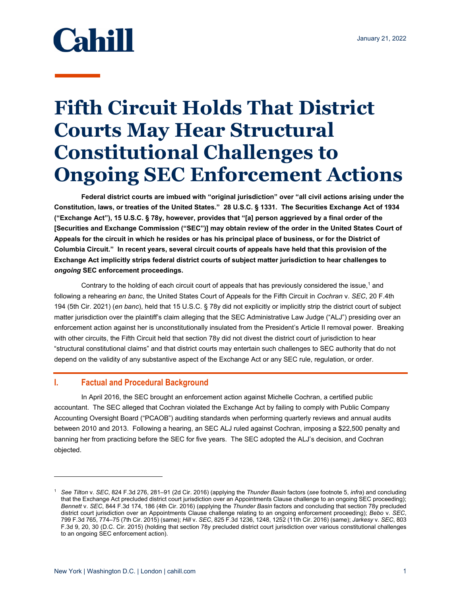# **Cahill**

# **Fifth Circuit Holds That District Courts May Hear Structural Constitutional Challenges to Ongoing SEC Enforcement Actions**

**Federal district courts are imbued with "original jurisdiction" over "all civil actions arising under the Constitution, laws, or treaties of the United States." 28 U.S.C. § 1331. The Securities Exchange Act of 1934 ("Exchange Act"), 15 U.S.C. § 78y, however, provides that "[a] person aggrieved by a final order of the [Securities and Exchange Commission ("SEC")] may obtain review of the order in the United States Court of Appeals for the circuit in which he resides or has his principal place of business, or for the District of Columbia Circuit." In recent years, several circuit courts of appeals have held that this provision of the Exchange Act implicitly strips federal district courts of subject matter jurisdiction to hear challenges to**  *ongoing* **SEC enforcement proceedings.** 

Contrary to the holding of each circuit court of appeals that has previously considered the issue,<sup>1</sup> and following a rehearing *en banc*, the United States Court of Appeals for the Fifth Circuit in *Cochran* v. *SEC*, 20 F.4th 194 (5th Cir. 2021) (*en banc*), held that 15 U.S.C. § 78y did not explicitly or implicitly strip the district court of subject matter jurisdiction over the plaintiff's claim alleging that the SEC Administrative Law Judge ("ALJ") presiding over an enforcement action against her is unconstitutionally insulated from the President's Article II removal power. Breaking with other circuits, the Fifth Circuit held that section 78y did not divest the district court of jurisdiction to hear "structural constitutional claims" and that district courts may entertain such challenges to SEC authority that do not depend on the validity of any substantive aspect of the Exchange Act or any SEC rule, regulation, or order.

## **I. Factual and Procedural Background**

In April 2016, the SEC brought an enforcement action against Michelle Cochran, a certified public accountant. The SEC alleged that Cochran violated the Exchange Act by failing to comply with Public Company Accounting Oversight Board ("PCAOB") auditing standards when performing quarterly reviews and annual audits between 2010 and 2013. Following a hearing, an SEC ALJ ruled against Cochran, imposing a \$22,500 penalty and banning her from practicing before the SEC for five years. The SEC adopted the ALJ's decision, and Cochran objected.

<sup>1</sup> *See Tilton* v. *SEC*, 824 F.3d 276, 281–91 (2d Cir. 2016) (applying the *Thunder Basin* factors (*see* footnote 5, *infra*) and concluding that the Exchange Act precluded district court jurisdiction over an Appointments Clause challenge to an ongoing SEC proceeding); *Bennett* v. *SEC*, 844 F.3d 174, 186 (4th Cir. 2016) (applying the *Thunder Basin* factors and concluding that section 78y precluded district court jurisdiction over an Appointments Clause challenge relating to an ongoing enforcement proceeding); *Bebo* v. *SEC*, 799 F.3d 765, 774–75 (7th Cir. 2015) (same); *Hill* v. *SEC*, 825 F.3d 1236, 1248, 1252 (11th Cir. 2016) (same); *Jarkesy* v. *SEC*, 803 F.3d 9, 20, 30 (D.C. Cir. 2015) (holding that section 78y precluded district court jurisdiction over various constitutional challenges to an ongoing SEC enforcement action).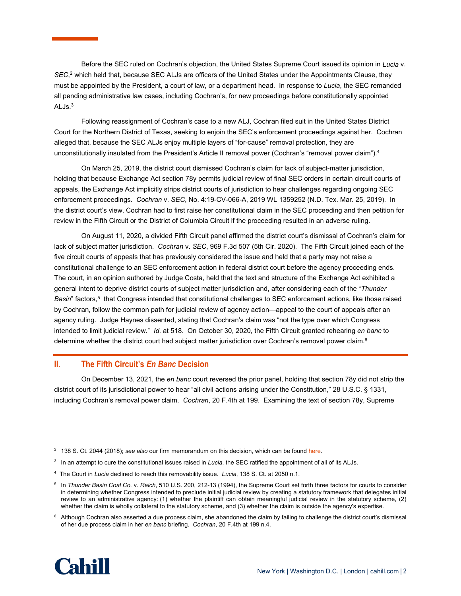Before the SEC ruled on Cochran's objection, the United States Supreme Court issued its opinion in *Lucia* v. *SEC*, 2 which held that, because SEC ALJs are officers of the United States under the Appointments Clause, they must be appointed by the President, a court of law, or a department head. In response to *Lucia*, the SEC remanded all pending administrative law cases, including Cochran's, for new proceedings before constitutionally appointed ALJ<sub>s.</sub>3

Following reassignment of Cochran's case to a new ALJ, Cochran filed suit in the United States District Court for the Northern District of Texas, seeking to enjoin the SEC's enforcement proceedings against her. Cochran alleged that, because the SEC ALJs enjoy multiple layers of "for-cause" removal protection, they are unconstitutionally insulated from the President's Article II removal power (Cochran's "removal power claim").4

On March 25, 2019, the district court dismissed Cochran's claim for lack of subject-matter jurisdiction, holding that because Exchange Act section 78y permits judicial review of final SEC orders in certain circuit courts of appeals, the Exchange Act implicitly strips district courts of jurisdiction to hear challenges regarding ongoing SEC enforcement proceedings. *Cochran* v. *SEC*, No. 4:19-CV-066-A, 2019 WL 1359252 (N.D. Tex. Mar. 25, 2019). In the district court's view, Cochran had to first raise her constitutional claim in the SEC proceeding and then petition for review in the Fifth Circuit or the District of Columbia Circuit if the proceeding resulted in an adverse ruling.

On August 11, 2020, a divided Fifth Circuit panel affirmed the district court's dismissal of Cochran's claim for lack of subject matter jurisdiction. *Cochran* v. *SEC*, 969 F.3d 507 (5th Cir. 2020). The Fifth Circuit joined each of the five circuit courts of appeals that has previously considered the issue and held that a party may not raise a constitutional challenge to an SEC enforcement action in federal district court before the agency proceeding ends. The court, in an opinion authored by Judge Costa, held that the text and structure of the Exchange Act exhibited a general intent to deprive district courts of subject matter jurisdiction and, after considering each of the *"Thunder Basin*" factors,<sup>5</sup> that Congress intended that constitutional challenges to SEC enforcement actions, like those raised by Cochran, follow the common path for judicial review of agency action—appeal to the court of appeals after an agency ruling. Judge Haynes dissented, stating that Cochran's claim was "not the type over which Congress intended to limit judicial review." *Id.* at 518. On October 30, 2020, the Fifth Circuit granted rehearing *en banc* to determine whether the district court had subject matter jurisdiction over Cochran's removal power claim.<sup>6</sup>

### **II. The Fifth Circuit's** *En Banc* **Decision**

On December 13, 2021, the *en banc* court reversed the prior panel, holding that section 78y did not strip the district court of its jurisdictional power to hear "all civil actions arising under the Constitution," 28 U.S.C. § 1331, including Cochran's removal power claim. *Cochran*, 20 F.4th at 199. Examining the text of section 78y, Supreme

<sup>&</sup>lt;sup>6</sup> Although Cochran also asserted a due process claim, she abandoned the claim by failing to challenge the district court's dismissal of her due process claim in her *en banc* briefing. *Cochran*, 20 F.4th at 199 n.4.



<sup>&</sup>lt;sup>2</sup> 138 S. Ct. 2044 (2018); see also our firm memorandum on this decision, which can be found [here.](https://www.cahill.com/publications/firm-memoranda/2018-06-27-supreme-court-holds-that-the-sec-s-administrative-law-judges-are-officers-subject-to-the-constitution-s-appointments-clause/_res/id=Attachments/index=0/CGR%20Memo%20-%20Supreme%20Court%20Holds%20That%20the%20SEC%E2%80%99s%20ALJs%20Are%20Officers%20Subject%20to%20the%20Constitution%E2%80%99s%20Appointments%20Clause.pdf)

<sup>3</sup> In an attempt to cure the constitutional issues raised in *Lucia*, the SEC ratified the appointment of all of its ALJs.

<sup>4</sup> The Court in *Lucia* declined to reach this removability issue. *Lucia*, 138 S. Ct. at 2050 n.1.

<sup>&</sup>lt;sup>5</sup> In *Thunder Basin Coal Co. v. Reich*, 510 U.S. 200, 212-13 (1994), the Supreme Court set forth three factors for courts to consider in determining whether Congress intended to preclude initial judicial review by creating a statutory framework that delegates initial review to an administrative agency: (1) whether the plaintiff can obtain meaningful judicial review in the statutory scheme, (2) whether the claim is wholly collateral to the statutory scheme, and (3) whether the claim is outside the agency's expertise.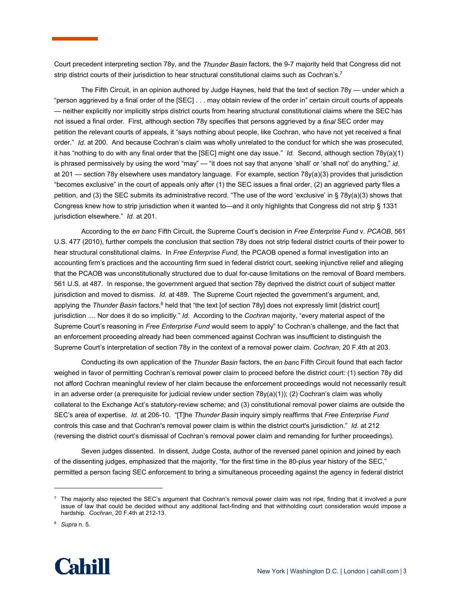Court precedent interpreting section 78y, and the *Thunder Basin* factors, the 9-7 majority held that Congress did not strip district courts of their jurisdiction to hear structural constitutional claims such as Cochran's.<sup>7</sup>

The Fifth Circuit, in an opinion authored by Judge Haynes, held that the text of section 78y — under which a "person aggrieved by a final order of the [SEC] . . . may obtain review of the order in" certain circuit courts of appeals — neither explicitly nor implicitly strips district courts from hearing structural constitutional claims where the SEC has not issued a final order. First, although section 78y specifies that persons aggrieved by a *final* SEC order may petition the relevant courts of appeals, it "says nothing about people, like Cochran, who have not yet received a final order." *Id.* at 200. And because Cochran's claim was wholly unrelated to the conduct for which she was prosecuted, it has "nothing to do with any final order that the [SEC] might one day issue." *Id.* Second, although section 78y(a)(1) is phrased permissively by using the word "may" — "it does not say that anyone 'shall' or 'shall not' do anything," *id.*  at 201 — section 78y elsewhere uses mandatory language. For example, section 78y(a)(3) provides that jurisdiction "becomes exclusive" in the court of appeals only after (1) the SEC issues a final order, (2) an aggrieved party files a petition, and (3) the SEC submits its administrative record. "The use of the word 'exclusive' in § 78y(a)(3) shows that Congress knew how to strip jurisdiction when it wanted to—and it only highlights that Congress did not strip § 1331 jurisdiction elsewhere." *Id.* at 201.

According to the *en banc* Fifth Circuit, the Supreme Court's decision in *Free Enterprise Fund* v. *PCAOB*, 561 U.S. 477 (2010), further compels the conclusion that section 78y does not strip federal district courts of their power to hear structural constitutional claims. In *Free Enterprise Fund*, the PCAOB opened a formal investigation into an accounting firm's practices and the accounting firm sued in federal district court, seeking injunctive relief and alleging that the PCAOB was unconstitutionally structured due to dual for-cause limitations on the removal of Board members. 561 U.S. at 487. In response, the government argued that section 78y deprived the district court of subject matter jurisdiction and moved to dismiss. *Id.* at 489. The Supreme Court rejected the government's argument, and, applying the Thunder Basin factors,<sup>8</sup> held that "the text [of section 78y] does not expressly limit [district court] jurisdiction .... Nor does it do so implicitly." *Id.* According to the *Cochran* majority, "every material aspect of the Supreme Court's reasoning in *Free Enterprise Fund* would seem to apply" to Cochran's challenge, and the fact that an enforcement proceeding already had been commenced against Cochran was insufficient to distinguish the Supreme Court's interpretation of section 78y in the context of a removal power claim. *Cochran*, 20 F.4th at 203.

Conducting its own application of the *Thunder Basin* factors, the *en banc* Fifth Circuit found that each factor weighed in favor of permitting Cochran's removal power claim to proceed before the district court: (1) section 78y did not afford Cochran meaningful review of her claim because the enforcement proceedings would not necessarily result in an adverse order (a prerequisite for judicial review under section 78y(a)(1)); (2) Cochran's claim was wholly collateral to the Exchange Act's statutory-review scheme; and (3) constitutional removal power claims are outside the SEC's area of expertise. *Id.* at 206-10. "[T]he *Thunder Basin* inquiry simply reaffirms that *Free Enterprise Fund* controls this case and that Cochran's removal power claim is within the district court's jurisdiction." *Id.* at 212 (reversing the district court's dismissal of Cochran's removal power claim and remanding for further proceedings).

Seven judges dissented. In dissent, Judge Costa, author of the reversed panel opinion and joined by each of the dissenting judges, emphasized that the majority, "for the first time in the 80-plus year history of the SEC," permitted a person facing SEC enforcement to bring a simultaneous proceeding against the agency in federal district

<sup>8</sup> *Supra* n. 5.



 $^7$  The majority also rejected the SEC's argument that Cochran's removal power claim was not ripe, finding that it involved a pure issue of law that could be decided without any additional fact-finding and that withholding court consideration would impose a hardship. *Cochran*, 20 F.4th at 212-13.